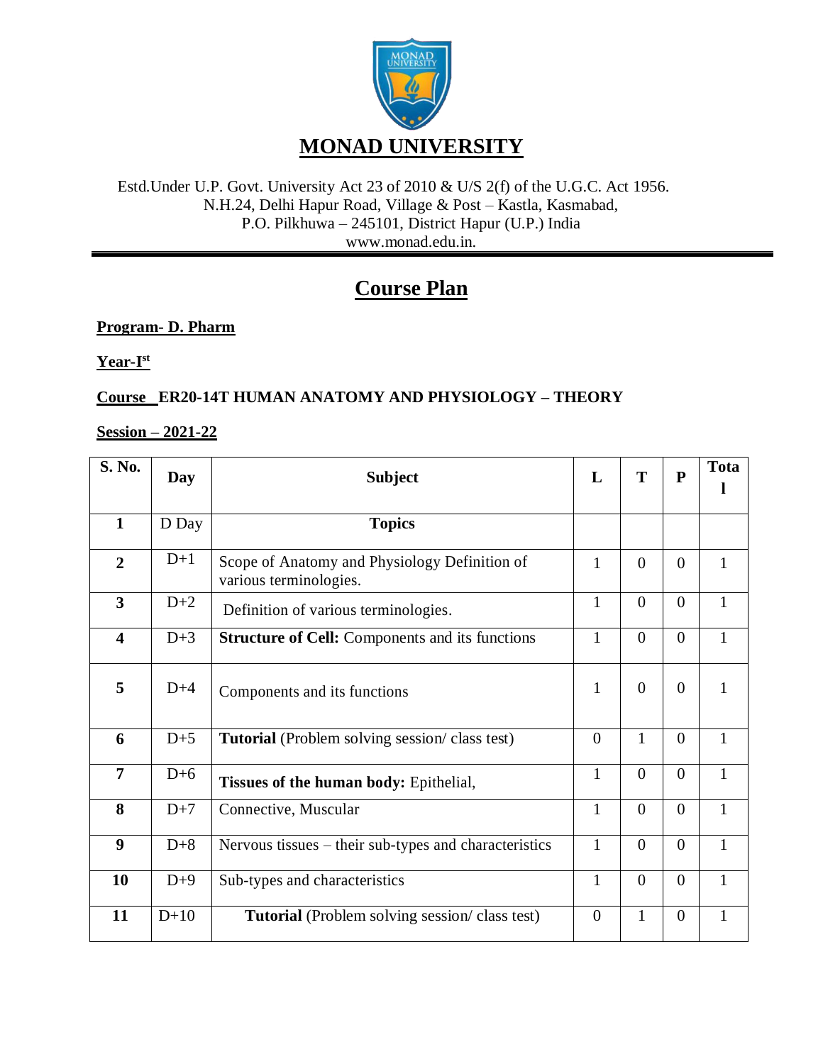

## Estd.Under U.P. Govt. University Act 23 of 2010 & U/S 2(f) of the U.G.C. Act 1956. N.H.24, Delhi Hapur Road, Village & Post – Kastla, Kasmabad, P.O. Pilkhuwa – 245101, District Hapur (U.P.) India www.monad.edu.in.

# **Course Plan**

# **Program- D. Pharm**

**Year-I st**

# **Course ER20-14T HUMAN ANATOMY AND PHYSIOLOGY – THEORY**

# **Session – 2021-22**

| S. No.                  | Day    | <b>Subject</b>                                                          | L              | T              | $\mathbf P$    | <b>Tota</b>  |
|-------------------------|--------|-------------------------------------------------------------------------|----------------|----------------|----------------|--------------|
|                         |        |                                                                         |                |                |                |              |
| $\mathbf{1}$            | D Day  | <b>Topics</b>                                                           |                |                |                |              |
| $\overline{2}$          | $D+1$  | Scope of Anatomy and Physiology Definition of<br>various terminologies. | $\mathbf{1}$   | $\overline{0}$ | $\theta$       | $\mathbf{1}$ |
| $\overline{\mathbf{3}}$ | $D+2$  | Definition of various terminologies.                                    | $\mathbf{1}$   | $\theta$       | $\Omega$       | $\mathbf{1}$ |
| $\overline{\mathbf{4}}$ | $D+3$  | <b>Structure of Cell:</b> Components and its functions                  | $\mathbf{1}$   | $\theta$       | $\overline{0}$ | $\mathbf{1}$ |
| 5                       | $D+4$  | Components and its functions                                            | 1              | $\theta$       | $\overline{0}$ | $\mathbf{1}$ |
| 6                       | $D+5$  | Tutorial (Problem solving session/class test)                           | $\overline{0}$ | $\mathbf{1}$   | $\overline{0}$ | $\mathbf{1}$ |
| $\overline{7}$          | $D+6$  | Tissues of the human body: Epithelial,                                  | $\mathbf{1}$   | $\theta$       | $\theta$       | $\mathbf{1}$ |
| 8                       | $D+7$  | Connective, Muscular                                                    | 1              | $\Omega$       | $\Omega$       | $\mathbf{1}$ |
| 9                       | $D+8$  | Nervous tissues – their sub-types and characteristics                   | $\mathbf{1}$   | $\overline{0}$ | $\theta$       | $\mathbf{1}$ |
| 10                      | $D+9$  | Sub-types and characteristics                                           | $\mathbf{1}$   | $\overline{0}$ | $\overline{0}$ | $\mathbf{1}$ |
| 11                      | $D+10$ | <b>Tutorial</b> (Problem solving session/class test)                    | $\overline{0}$ | $\mathbf{1}$   | $\overline{0}$ | 1            |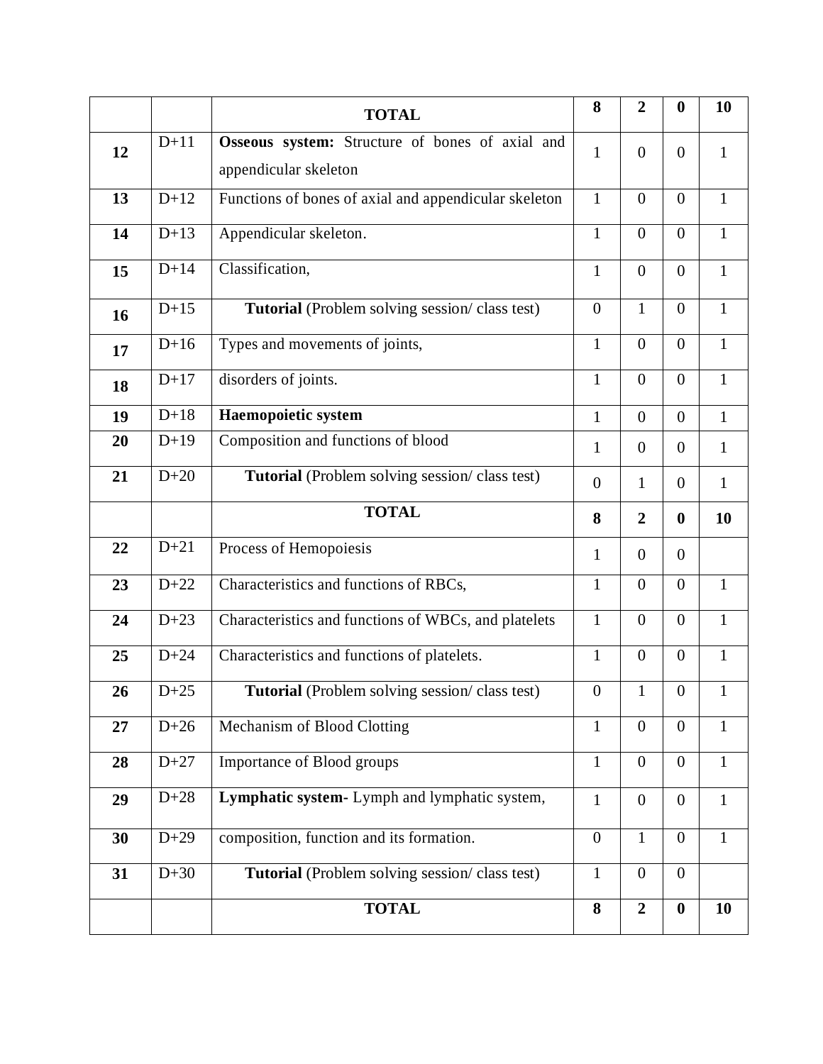|    |        | <b>TOTAL</b>                                                             | 8                | $\overline{2}$ | $\boldsymbol{0}$ | 10           |
|----|--------|--------------------------------------------------------------------------|------------------|----------------|------------------|--------------|
| 12 | $D+11$ | Osseous system: Structure of bones of axial and<br>appendicular skeleton | $\mathbf{1}$     | $\overline{0}$ | $\overline{0}$   | $\mathbf{1}$ |
| 13 | $D+12$ | Functions of bones of axial and appendicular skeleton                    | $\mathbf{1}$     | $\overline{0}$ | $\overline{0}$   | $\mathbf{1}$ |
| 14 | $D+13$ | Appendicular skeleton.                                                   | $\mathbf{1}$     | $\overline{0}$ | $\overline{0}$   | $\mathbf{1}$ |
| 15 | $D+14$ | Classification,                                                          | $\mathbf{1}$     | $\overline{0}$ | $\overline{0}$   | $\mathbf{1}$ |
| 16 | $D+15$ | Tutorial (Problem solving session/class test)                            | $\boldsymbol{0}$ | $\mathbf{1}$   | $\overline{0}$   | $\mathbf{1}$ |
| 17 | $D+16$ | Types and movements of joints,                                           | $\mathbf{1}$     | $\overline{0}$ | $\overline{0}$   | $\mathbf{1}$ |
| 18 | $D+17$ | disorders of joints.                                                     | $\mathbf{1}$     | $\overline{0}$ | $\overline{0}$   | $\mathbf{1}$ |
| 19 | $D+18$ | Haemopoietic system                                                      | $\mathbf{1}$     | $\overline{0}$ | $\boldsymbol{0}$ | $\mathbf{1}$ |
| 20 | $D+19$ | Composition and functions of blood                                       | $\mathbf{1}$     | $\overline{0}$ | $\overline{0}$   | $\mathbf{1}$ |
| 21 | $D+20$ | <b>Tutorial</b> (Problem solving session/class test)                     | $\overline{0}$   | $\mathbf{1}$   | $\overline{0}$   | $\mathbf{1}$ |
|    |        | <b>TOTAL</b>                                                             | 8                | $\overline{2}$ | $\bf{0}$         | 10           |
| 22 | $D+21$ | Process of Hemopoiesis                                                   | $\mathbf{1}$     | $\overline{0}$ | $\Omega$         |              |
| 23 | $D+22$ | Characteristics and functions of RBCs,                                   | $\mathbf{1}$     | $\overline{0}$ | $\overline{0}$   | $\mathbf{1}$ |
| 24 | $D+23$ | Characteristics and functions of WBCs, and platelets                     | $\mathbf{1}$     | $\overline{0}$ | $\overline{0}$   | $\mathbf{1}$ |
| 25 | $D+24$ | Characteristics and functions of platelets.                              | $\mathbf{1}$     | $\overline{0}$ | $\overline{0}$   | $\mathbf{1}$ |
| 26 | $D+25$ | <b>Tutorial</b> (Problem solving session/class test)                     | $\boldsymbol{0}$ | $\mathbf{1}$   | $\boldsymbol{0}$ | 1            |
| 27 | $D+26$ | Mechanism of Blood Clotting                                              | $\mathbf{1}$     | $\overline{0}$ | $\overline{0}$   | $\mathbf{1}$ |
| 28 | $D+27$ | Importance of Blood groups                                               | $\mathbf{1}$     | $\overline{0}$ | $\overline{0}$   | $\mathbf{1}$ |
| 29 | $D+28$ | Lymphatic system- Lymph and lymphatic system,                            | $\mathbf{1}$     | $\overline{0}$ | $\overline{0}$   | $\mathbf{1}$ |
| 30 | $D+29$ | composition, function and its formation.                                 | $\overline{0}$   | $\mathbf{1}$   | $\overline{0}$   | $\mathbf{1}$ |
| 31 | $D+30$ | <b>Tutorial</b> (Problem solving session/class test)                     | $\mathbf{1}$     | $\overline{0}$ | $\overline{0}$   |              |
|    |        | <b>TOTAL</b>                                                             | 8                | $\overline{2}$ | $\boldsymbol{0}$ | 10           |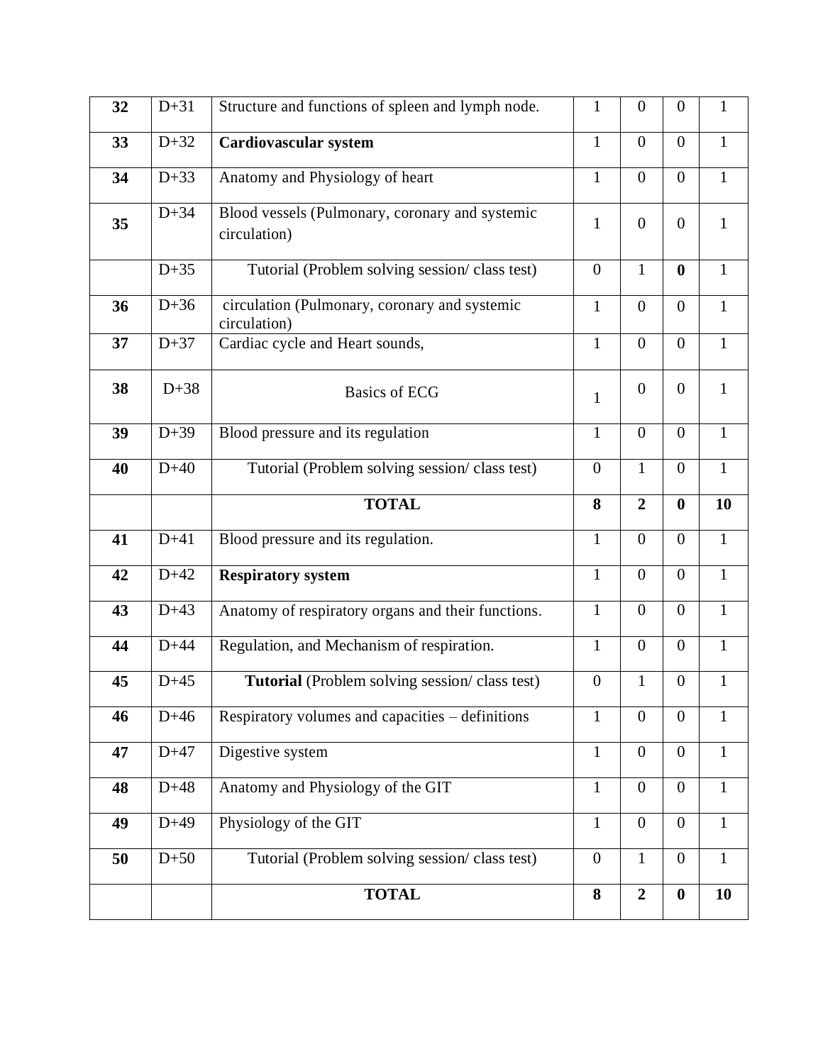| 32 | $D+31$ | Structure and functions of spleen and lymph node.               | $\mathbf{1}$     | $\boldsymbol{0}$ | $\overline{0}$   | 1            |
|----|--------|-----------------------------------------------------------------|------------------|------------------|------------------|--------------|
|    |        |                                                                 |                  |                  |                  |              |
| 33 | $D+32$ | Cardiovascular system                                           | $\mathbf{1}$     | $\overline{0}$   | $\overline{0}$   | $\mathbf{1}$ |
| 34 | $D+33$ | Anatomy and Physiology of heart                                 | $\mathbf{1}$     | $\boldsymbol{0}$ | $\overline{0}$   | $\mathbf{1}$ |
| 35 | $D+34$ | Blood vessels (Pulmonary, coronary and systemic<br>circulation) | $\mathbf{1}$     | $\overline{0}$   | $\overline{0}$   | $\mathbf{1}$ |
|    | $D+35$ | Tutorial (Problem solving session/class test)                   | $\overline{0}$   | $\mathbf{1}$     | $\bf{0}$         | $\mathbf{1}$ |
| 36 | $D+36$ | circulation (Pulmonary, coronary and systemic<br>circulation)   | $\mathbf{1}$     | $\boldsymbol{0}$ | $\overline{0}$   | $\mathbf{1}$ |
| 37 | $D+37$ | Cardiac cycle and Heart sounds,                                 | $\mathbf{1}$     | $\overline{0}$   | $\overline{0}$   | $\mathbf{1}$ |
| 38 | $D+38$ | <b>Basics of ECG</b>                                            | $\mathbf{1}$     | $\boldsymbol{0}$ | $\overline{0}$   | $\mathbf{1}$ |
| 39 | $D+39$ | Blood pressure and its regulation                               | $\mathbf{1}$     | $\overline{0}$   | $\overline{0}$   | $\mathbf{1}$ |
| 40 | $D+40$ | Tutorial (Problem solving session/class test)                   | $\overline{0}$   | $\mathbf{1}$     | $\overline{0}$   | $\mathbf{1}$ |
|    |        | <b>TOTAL</b>                                                    | 8                | $\overline{2}$   | $\bf{0}$         | 10           |
| 41 | $D+41$ | Blood pressure and its regulation.                              | $\mathbf{1}$     | $\overline{0}$   | $\overline{0}$   | $\mathbf{1}$ |
| 42 | $D+42$ | <b>Respiratory system</b>                                       | $\mathbf{1}$     | $\boldsymbol{0}$ | $\overline{0}$   | $\mathbf{1}$ |
| 43 | $D+43$ | Anatomy of respiratory organs and their functions.              | $\mathbf{1}$     | $\overline{0}$   | $\overline{0}$   | $\mathbf{1}$ |
| 44 | $D+44$ | Regulation, and Mechanism of respiration.                       | $\mathbf{1}$     | $\boldsymbol{0}$ | $\overline{0}$   | $\mathbf{1}$ |
| 45 | $D+45$ | Tutorial (Problem solving session/class test)                   | $\boldsymbol{0}$ | $\mathbf{1}$     | $\overline{0}$   | $\mathbf{1}$ |
| 46 | $D+46$ | Respiratory volumes and capacities - definitions                | $\mathbf{1}$     | $\boldsymbol{0}$ | $\overline{0}$   | 1            |
| 47 | $D+47$ | Digestive system                                                | $\mathbf{1}$     | $\boldsymbol{0}$ | $\overline{0}$   | $\mathbf{1}$ |
| 48 | $D+48$ | Anatomy and Physiology of the GIT                               | $\mathbf{1}$     | $\overline{0}$   | $\overline{0}$   | $\mathbf{1}$ |
| 49 | $D+49$ | Physiology of the GIT                                           | $\mathbf{1}$     | $\overline{0}$   | $\overline{0}$   | $\mathbf{1}$ |
| 50 | $D+50$ | Tutorial (Problem solving session/class test)                   | $\overline{0}$   | $\mathbf{1}$     | $\boldsymbol{0}$ | $\mathbf{1}$ |
|    |        | <b>TOTAL</b>                                                    | 8                | $\overline{2}$   | $\boldsymbol{0}$ | 10           |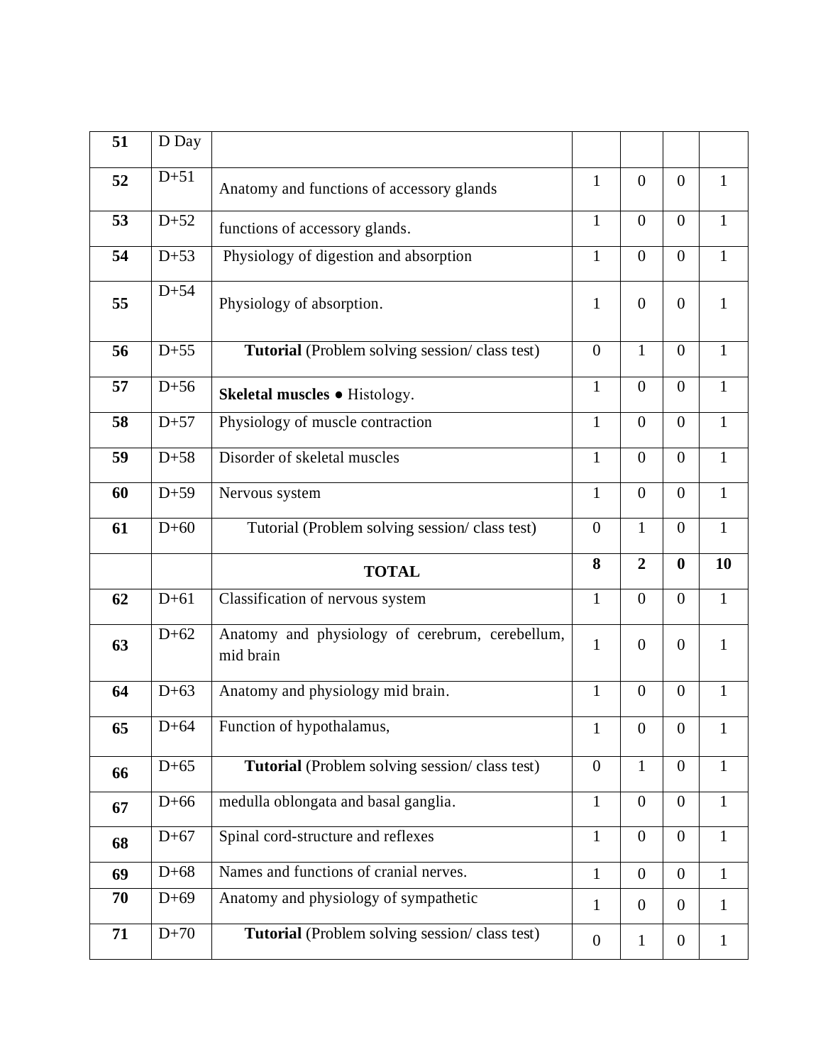| 51 | D Day  |                                                              |                |                |                |              |
|----|--------|--------------------------------------------------------------|----------------|----------------|----------------|--------------|
| 52 | $D+51$ | Anatomy and functions of accessory glands                    | $\mathbf{1}$   | $\overline{0}$ | $\overline{0}$ | $\mathbf{1}$ |
| 53 | $D+52$ | functions of accessory glands.                               | $\mathbf{1}$   | $\overline{0}$ | $\overline{0}$ | $\mathbf{1}$ |
| 54 | $D+53$ | Physiology of digestion and absorption                       | $\mathbf{1}$   | $\overline{0}$ | $\overline{0}$ | $\mathbf{1}$ |
| 55 | $D+54$ | Physiology of absorption.                                    | $\mathbf{1}$   | $\overline{0}$ | $\overline{0}$ | $\mathbf{1}$ |
| 56 | $D+55$ | Tutorial (Problem solving session/class test)                | $\mathbf{0}$   | $\mathbf{1}$   | $\overline{0}$ | $\mathbf{1}$ |
| 57 | $D+56$ | Skeletal muscles • Histology.                                | $\mathbf{1}$   | $\overline{0}$ | $\overline{0}$ | $\mathbf{1}$ |
| 58 | $D+57$ | Physiology of muscle contraction                             | $\mathbf{1}$   | $\theta$       | $\overline{0}$ | $\mathbf{1}$ |
| 59 | $D+58$ | Disorder of skeletal muscles                                 | $\mathbf{1}$   | $\overline{0}$ | $\overline{0}$ | $\mathbf{1}$ |
| 60 | $D+59$ | Nervous system                                               | $\mathbf{1}$   | $\overline{0}$ | $\overline{0}$ | $\mathbf{1}$ |
| 61 | $D+60$ | Tutorial (Problem solving session/class test)                | $\mathbf{0}$   | $\mathbf{1}$   | $\overline{0}$ | $\mathbf{1}$ |
|    |        |                                                              |                |                |                |              |
|    |        | <b>TOTAL</b>                                                 | 8              | $\overline{2}$ | $\bf{0}$       | 10           |
| 62 | $D+61$ | Classification of nervous system                             | $\mathbf{1}$   | $\overline{0}$ | $\overline{0}$ | $\mathbf{1}$ |
| 63 | $D+62$ | Anatomy and physiology of cerebrum, cerebellum,<br>mid brain | $\mathbf{1}$   | $\overline{0}$ | $\overline{0}$ | $\mathbf{1}$ |
| 64 | $D+63$ | Anatomy and physiology mid brain.                            | $\mathbf{1}$   | $\overline{0}$ | $\overline{0}$ | $\mathbf{1}$ |
| 65 | $D+64$ | Function of hypothalamus,                                    | $\mathbf{1}$   | $\overline{0}$ | $\overline{0}$ | $\mathbf{1}$ |
| 66 | $D+65$ | Tutorial (Problem solving session/class test)                | $\overline{0}$ | $\mathbf{1}$   | $\overline{0}$ | $\mathbf{1}$ |
| 67 | $D+66$ | medulla oblongata and basal ganglia.                         | $\mathbf{1}$   | $\overline{0}$ | $\overline{0}$ | $\mathbf{1}$ |
| 68 | $D+67$ | Spinal cord-structure and reflexes                           | $\mathbf{1}$   | $\overline{0}$ | $\overline{0}$ | $\mathbf{1}$ |
| 69 | $D+68$ | Names and functions of cranial nerves.                       | $\mathbf{1}$   | $\overline{0}$ | $\overline{0}$ | $\mathbf{1}$ |
| 70 | $D+69$ | Anatomy and physiology of sympathetic                        | $\mathbf{1}$   | $\overline{0}$ | $\overline{0}$ | 1            |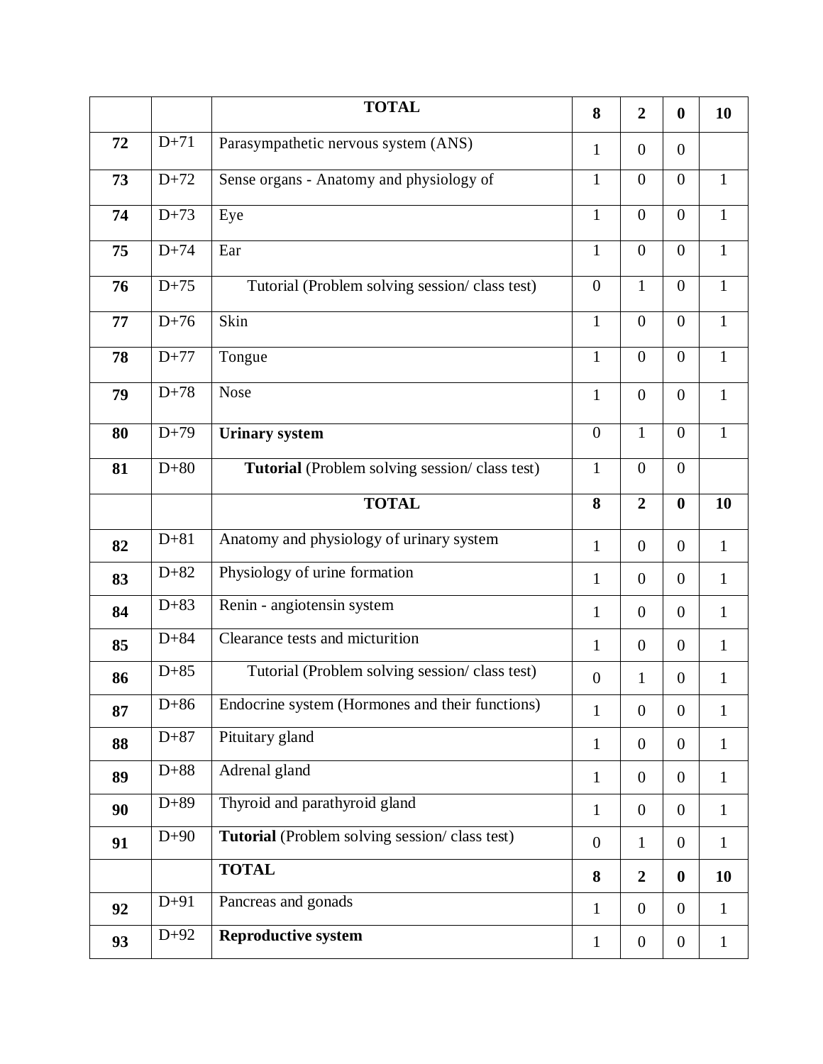|    |        | <b>TOTAL</b>                                    | 8                | $\overline{2}$   | $\boldsymbol{0}$ | 10           |
|----|--------|-------------------------------------------------|------------------|------------------|------------------|--------------|
| 72 | $D+71$ | Parasympathetic nervous system (ANS)            | $\mathbf{1}$     | $\overline{0}$   | $\overline{0}$   |              |
| 73 | $D+72$ | Sense organs - Anatomy and physiology of        | $\mathbf{1}$     | $\overline{0}$   | $\boldsymbol{0}$ | $\mathbf{1}$ |
| 74 | $D+73$ | Eye                                             | $\mathbf{1}$     | $\overline{0}$   | $\overline{0}$   | $\mathbf{1}$ |
| 75 | $D+74$ | Ear                                             | $\mathbf{1}$     | $\overline{0}$   | $\boldsymbol{0}$ | $\mathbf{1}$ |
| 76 | $D+75$ | Tutorial (Problem solving session/class test)   | $\overline{0}$   | $\mathbf{1}$     | $\boldsymbol{0}$ | $\mathbf{1}$ |
| 77 | $D+76$ | Skin                                            | $\mathbf{1}$     | $\overline{0}$   | $\overline{0}$   | $\mathbf{1}$ |
| 78 | $D+77$ | Tongue                                          | $\mathbf{1}$     | $\overline{0}$   | $\boldsymbol{0}$ | $\mathbf{1}$ |
| 79 | $D+78$ | <b>Nose</b>                                     | $\mathbf{1}$     | $\overline{0}$   | $\boldsymbol{0}$ | $\mathbf{1}$ |
| 80 | $D+79$ | <b>Urinary system</b>                           | $\overline{0}$   | $\mathbf{1}$     | $\overline{0}$   | $\mathbf{1}$ |
| 81 | $D+80$ | Tutorial (Problem solving session/class test)   | $\mathbf{1}$     | $\boldsymbol{0}$ | $\boldsymbol{0}$ |              |
|    |        | <b>TOTAL</b>                                    | 8                | $\overline{2}$   | $\boldsymbol{0}$ | 10           |
|    |        |                                                 |                  |                  |                  |              |
| 82 | $D+81$ | Anatomy and physiology of urinary system        | $\mathbf{1}$     | $\overline{0}$   | $\overline{0}$   | $\mathbf{1}$ |
| 83 | $D+82$ | Physiology of urine formation                   | $\mathbf{1}$     | $\overline{0}$   | $\overline{0}$   | $\mathbf{1}$ |
| 84 | $D+83$ | Renin - angiotensin system                      | $\mathbf{1}$     | $\overline{0}$   | $\overline{0}$   | $\mathbf{1}$ |
| 85 | $D+84$ | Clearance tests and micturition                 | $\mathbf{1}$     | $\overline{0}$   | $\overline{0}$   | $\mathbf{1}$ |
| 86 | $D+85$ | Tutorial (Problem solving session/class test)   | $\boldsymbol{0}$ | $\mathbf{1}$     | $\boldsymbol{0}$ | $\mathbf{1}$ |
| 87 | $D+86$ | Endocrine system (Hormones and their functions) | $\mathbf{1}$     | $\overline{0}$   | $\overline{0}$   | $\mathbf{1}$ |
| 88 | $D+87$ | Pituitary gland                                 | $\mathbf{1}$     | $\overline{0}$   | $\overline{0}$   | $\mathbf{1}$ |
| 89 | $D+88$ | Adrenal gland                                   | $\mathbf{1}$     | $\boldsymbol{0}$ | $\overline{0}$   | $\mathbf{1}$ |
| 90 | $D+89$ | Thyroid and parathyroid gland                   | $\mathbf{1}$     | $\overline{0}$   | $\overline{0}$   | $\mathbf{1}$ |
| 91 | $D+90$ | Tutorial (Problem solving session/class test)   | $\boldsymbol{0}$ | $\mathbf{1}$     | $\boldsymbol{0}$ | $\mathbf{1}$ |
|    |        | <b>TOTAL</b>                                    | 8                | $\overline{2}$   | $\boldsymbol{0}$ | 10           |
| 92 | $D+91$ | Pancreas and gonads                             | $\mathbf{1}$     | $\overline{0}$   | $\overline{0}$   | $\mathbf{1}$ |
| 93 | $D+92$ | <b>Reproductive system</b>                      | $\mathbf{1}$     | $\boldsymbol{0}$ | $\overline{0}$   | $\mathbf{1}$ |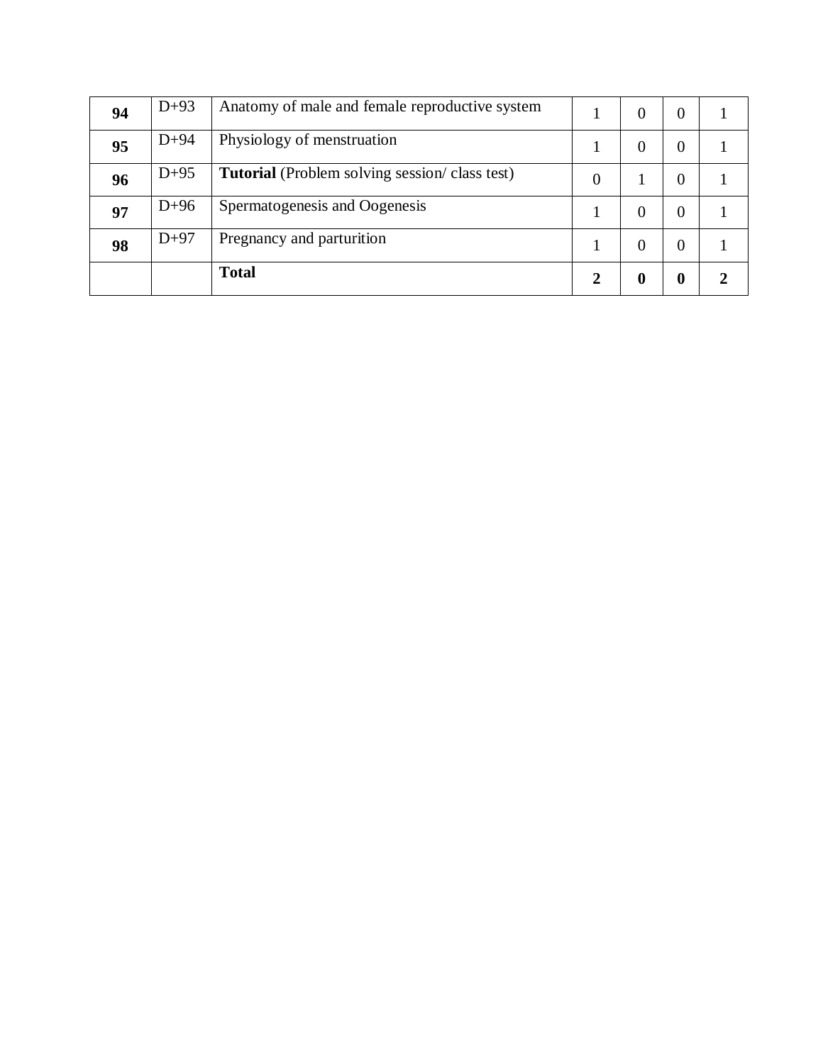| 94 | $D+93$ | Anatomy of male and female reproductive system       |                | $\Omega$ | 0 |  |
|----|--------|------------------------------------------------------|----------------|----------|---|--|
| 95 | $D+94$ | Physiology of menstruation                           |                | $\theta$ | 0 |  |
| 96 | $D+95$ | <b>Tutorial</b> (Problem solving session/class test) | $\overline{0}$ |          | 0 |  |
| 97 | $D+96$ | Spermatogenesis and Oogenesis                        |                | $\Omega$ | 0 |  |
| 98 | $D+97$ | Pregnancy and parturition                            |                | $\Omega$ | 0 |  |
|    |        | <b>Total</b>                                         | 2              | 0        | 0 |  |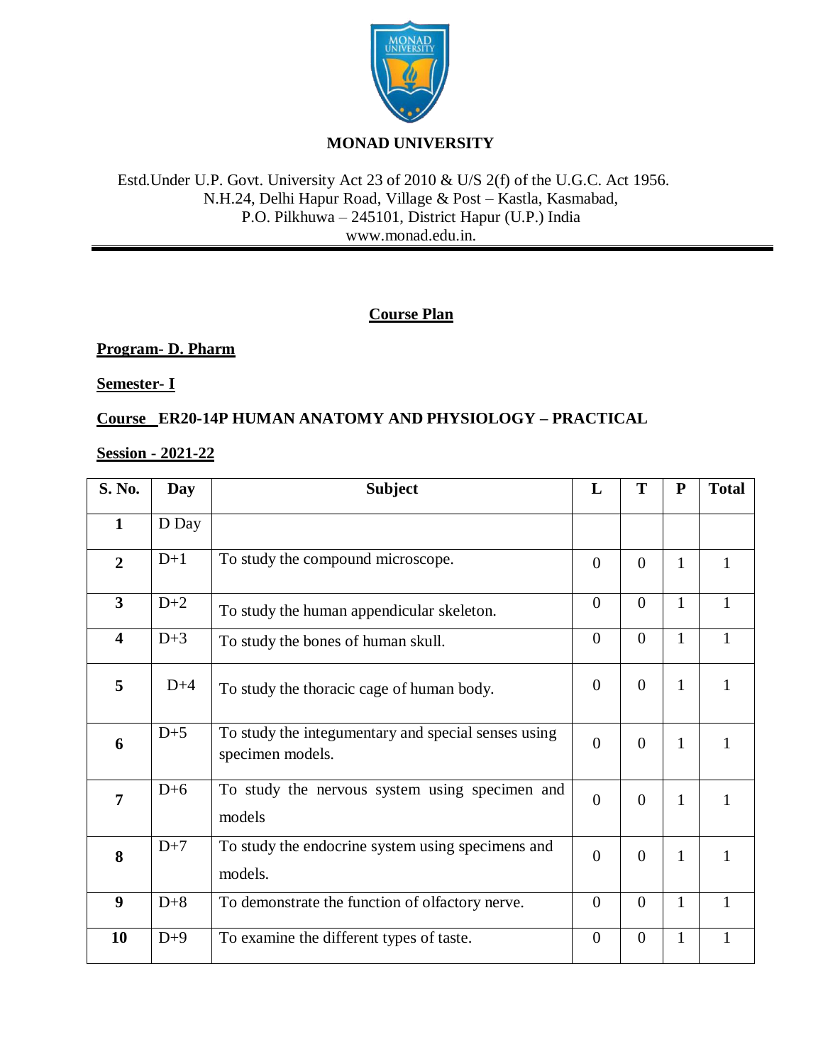

# **MONAD UNIVERSITY**

## Estd.Under U.P. Govt. University Act 23 of 2010 & U/S 2(f) of the U.G.C. Act 1956. N.H.24, Delhi Hapur Road, Village & Post – Kastla, Kasmabad, P.O. Pilkhuwa – 245101, District Hapur (U.P.) India www.monad.edu.in.

# **Course Plan**

## **Program- D. Pharm**

**Semester- I**

**Course ER20-14P HUMAN ANATOMY AND PHYSIOLOGY – PRACTICAL**

## **Session - 2021-22**

| S. No.                  | Day   | <b>Subject</b>                                                          | L              | T                | ${\bf P}$    | <b>Total</b> |
|-------------------------|-------|-------------------------------------------------------------------------|----------------|------------------|--------------|--------------|
| $\mathbf{1}$            | D Day |                                                                         |                |                  |              |              |
| $\overline{2}$          | $D+1$ | To study the compound microscope.                                       | $\Omega$       | $\overline{0}$   | 1            | 1            |
| $\overline{3}$          | $D+2$ | To study the human appendicular skeleton.                               | $\overline{0}$ | $\overline{0}$   | $\mathbf{1}$ | $\mathbf{1}$ |
| $\overline{\mathbf{4}}$ | $D+3$ | To study the bones of human skull.                                      | $\overline{0}$ | $\boldsymbol{0}$ | $\mathbf{1}$ | $\mathbf{1}$ |
| 5                       | $D+4$ | To study the thoracic cage of human body.                               | $\Omega$       | $\overline{0}$   | 1            | $\mathbf{1}$ |
| 6                       | $D+5$ | To study the integumentary and special senses using<br>specimen models. | $\Omega$       | $\overline{0}$   | $\mathbf{1}$ | 1            |
| $\overline{7}$          | $D+6$ | To study the nervous system using specimen and<br>models                | $\Omega$       | $\overline{0}$   | 1            | $\mathbf{1}$ |
| 8                       | $D+7$ | To study the endocrine system using specimens and<br>models.            | $\Omega$       | $\overline{0}$   | $\mathbf{1}$ | $\mathbf{1}$ |
| 9                       | $D+8$ | To demonstrate the function of olfactory nerve.                         | $\theta$       | $\overline{0}$   | $\mathbf{1}$ | $\mathbf{1}$ |
| 10                      | $D+9$ | To examine the different types of taste.                                | $\overline{0}$ | $\overline{0}$   | $\mathbf{1}$ | $\mathbf{1}$ |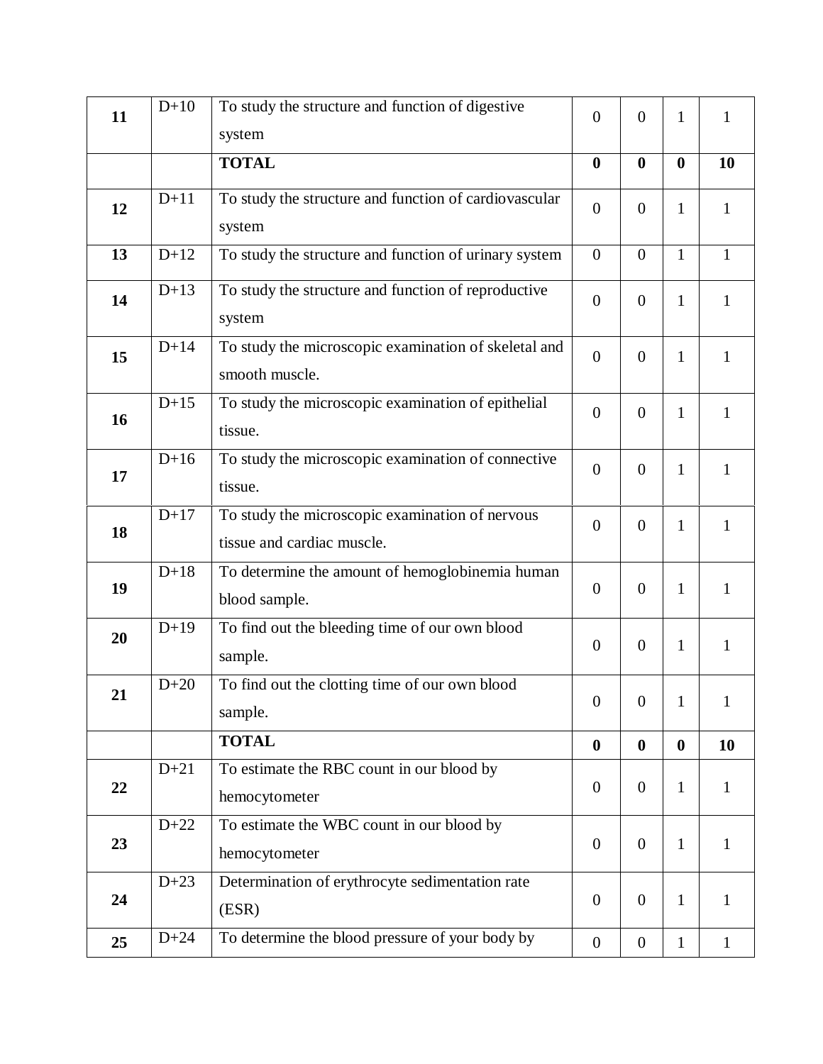| 11 | $D+10$ | To study the structure and function of digestive<br>system                    | $\overline{0}$   | $\overline{0}$   | $\mathbf{1}$     | $\mathbf{1}$ |
|----|--------|-------------------------------------------------------------------------------|------------------|------------------|------------------|--------------|
|    |        | <b>TOTAL</b>                                                                  | $\bf{0}$         | $\bf{0}$         | $\bf{0}$         | 10           |
| 12 | $D+11$ | To study the structure and function of cardiovascular<br>system               | $\overline{0}$   | $\overline{0}$   | $\mathbf{1}$     | $\mathbf{1}$ |
| 13 | $D+12$ | To study the structure and function of urinary system                         | $\mathbf{0}$     | $\overline{0}$   | $\mathbf{1}$     | $\mathbf{1}$ |
| 14 | $D+13$ | To study the structure and function of reproductive<br>system                 | $\overline{0}$   | $\overline{0}$   | $\mathbf{1}$     | $\mathbf{1}$ |
| 15 | $D+14$ | To study the microscopic examination of skeletal and<br>smooth muscle.        | $\overline{0}$   | $\overline{0}$   | $\mathbf{1}$     | $\mathbf{1}$ |
| 16 | $D+15$ | To study the microscopic examination of epithelial<br>tissue.                 | $\overline{0}$   | $\overline{0}$   | $\mathbf{1}$     | $\mathbf{1}$ |
| 17 | $D+16$ | To study the microscopic examination of connective<br>tissue.                 | $\overline{0}$   | $\overline{0}$   | $\mathbf{1}$     | $\mathbf{1}$ |
| 18 | $D+17$ | To study the microscopic examination of nervous<br>tissue and cardiac muscle. | $\overline{0}$   | $\overline{0}$   | $\mathbf{1}$     | $\mathbf{1}$ |
| 19 | $D+18$ | To determine the amount of hemoglobinemia human<br>blood sample.              | $\overline{0}$   | $\theta$         | $\mathbf{1}$     | $\mathbf{1}$ |
| 20 | $D+19$ | To find out the bleeding time of our own blood<br>sample.                     | $\overline{0}$   | $\theta$         | $\mathbf{1}$     | $\mathbf{1}$ |
| 21 | $D+20$ | To find out the clotting time of our own blood<br>sample.                     | $\overline{0}$   | $\boldsymbol{0}$ | 1                | 1            |
|    |        | <b>TOTAL</b>                                                                  | $\bf{0}$         | $\boldsymbol{0}$ | $\boldsymbol{0}$ | 10           |
| 22 | $D+21$ | To estimate the RBC count in our blood by<br>hemocytometer                    | $\overline{0}$   | $\overline{0}$   | $\mathbf{1}$     | $\mathbf{1}$ |
| 23 | $D+22$ | To estimate the WBC count in our blood by<br>hemocytometer                    | $\overline{0}$   | $\overline{0}$   | $\mathbf{1}$     | $\mathbf{1}$ |
| 24 | $D+23$ | Determination of erythrocyte sedimentation rate<br>(ESR)                      | $\overline{0}$   | $\overline{0}$   | $\mathbf{1}$     | $\mathbf{1}$ |
| 25 | $D+24$ | To determine the blood pressure of your body by                               | $\boldsymbol{0}$ | $\boldsymbol{0}$ | $\mathbf{1}$     | $\mathbf{1}$ |